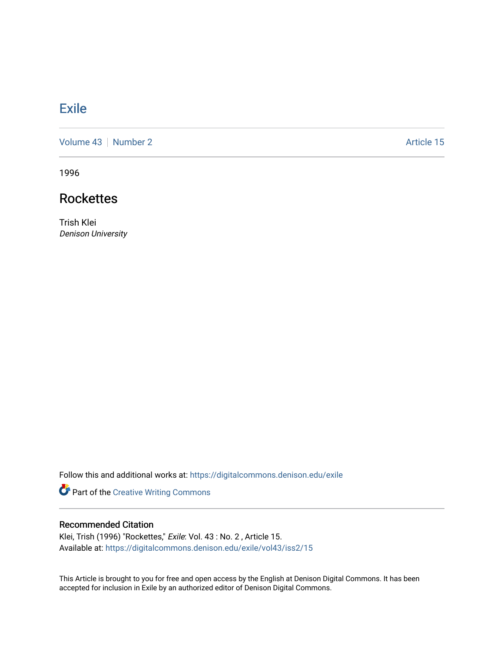## **[Exile](https://digitalcommons.denison.edu/exile)**

[Volume 43](https://digitalcommons.denison.edu/exile/vol43) | [Number 2](https://digitalcommons.denison.edu/exile/vol43/iss2) Article 15

1996

## **Rockettes**

Trish Klei Denison University

Follow this and additional works at: [https://digitalcommons.denison.edu/exile](https://digitalcommons.denison.edu/exile?utm_source=digitalcommons.denison.edu%2Fexile%2Fvol43%2Fiss2%2F15&utm_medium=PDF&utm_campaign=PDFCoverPages) 

Part of the [Creative Writing Commons](http://network.bepress.com/hgg/discipline/574?utm_source=digitalcommons.denison.edu%2Fexile%2Fvol43%2Fiss2%2F15&utm_medium=PDF&utm_campaign=PDFCoverPages) 

## Recommended Citation

Klei, Trish (1996) "Rockettes," Exile: Vol. 43 : No. 2 , Article 15. Available at: [https://digitalcommons.denison.edu/exile/vol43/iss2/15](https://digitalcommons.denison.edu/exile/vol43/iss2/15?utm_source=digitalcommons.denison.edu%2Fexile%2Fvol43%2Fiss2%2F15&utm_medium=PDF&utm_campaign=PDFCoverPages)

This Article is brought to you for free and open access by the English at Denison Digital Commons. It has been accepted for inclusion in Exile by an authorized editor of Denison Digital Commons.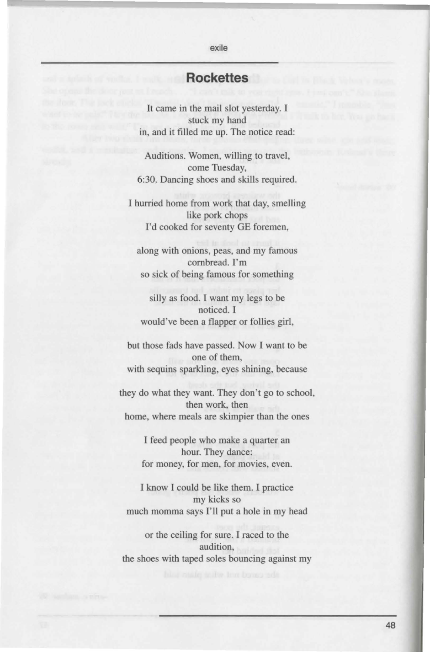## **Rockettes**

exile

It came in the mail slot yesterday. I stuck my hand in, and it filled me up. The notice read:

Auditions. Women, willing to travel, come Tuesday, 6:30. Dancing shoes and skills required.

I hurried home from work that day, smelling like pork chops I'd cooked for seventy GE foremen,

along with onions, peas, and my famous cornbread. I'm so sick of being famous for something

silly as food. I want my legs to be noticed. I would've been a flapper or follies girl,

but those fads have passed. Now I want to be one of them, with sequins sparkling, eyes shining, because

they do what they want. They don't go to school, then work, then home, where meals are skimpier than the ones

> I feed people who make a quarter an hour. They dance: for money, for men, for movies, even.

I know I could be like them. I practice my kicks so much momma says I'll put a hole in my head

or the ceiling for sure. I raced to the audition, the shoes with taped soles bouncing against my